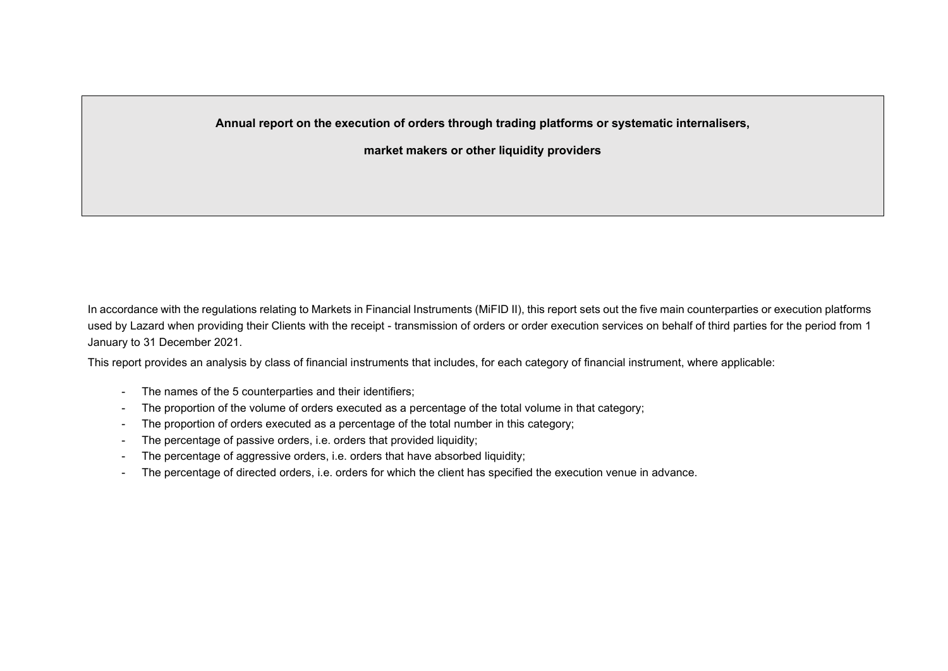**Annual report on the execution of orders through trading platforms or systematic internalisers,**

**market makers or other liquidity providers**

In accordance with the regulations relating to Markets in Financial Instruments (MiFID II), this report sets out the five main counterparties or execution platforms used by Lazard when providing their Clients with the receipt - transmission of orders or order execution services on behalf of third parties for the period from 1 January to 31 December 2021.

This report provides an analysis by class of financial instruments that includes, for each category of financial instrument, where applicable:

- The names of the 5 counterparties and their identifiers;
- The proportion of the volume of orders executed as a percentage of the total volume in that category;
- The proportion of orders executed as a percentage of the total number in this category;
- The percentage of passive orders, i.e. orders that provided liquidity;
- The percentage of aggressive orders, i.e. orders that have absorbed liquidity;
- The percentage of directed orders, i.e. orders for which the client has specified the execution venue in advance.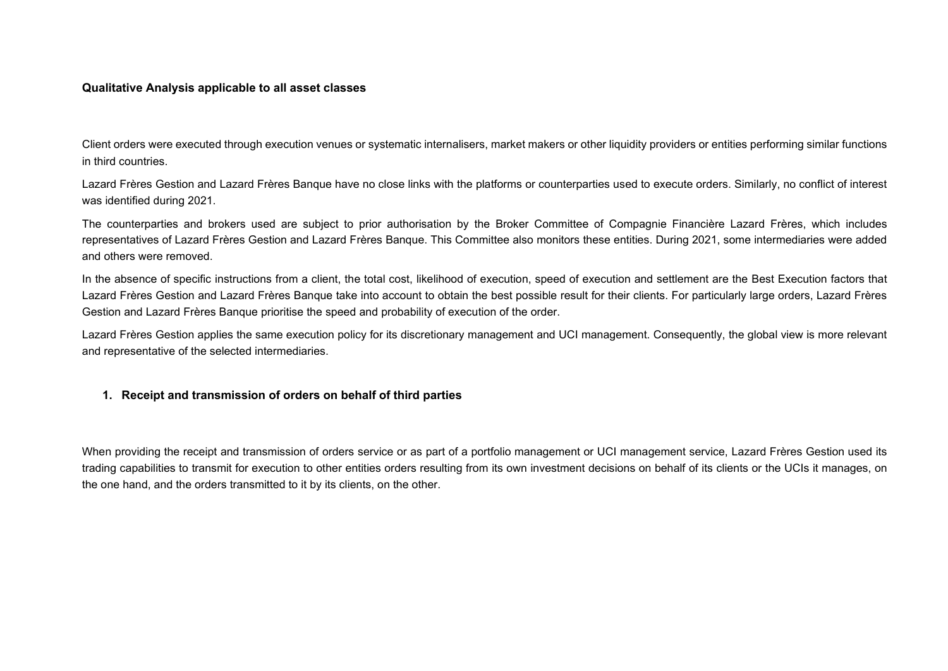#### **Qualitative Analysis applicable to all asset classes**

Client orders were executed through execution venues or systematic internalisers, market makers or other liquidity providers or entities performing similar functions in third countries.

Lazard Frères Gestion and Lazard Frères Banque have no close links with the platforms or counterparties used to execute orders. Similarly, no conflict of interest was identified during 2021.

The counterparties and brokers used are subject to prior authorisation by the Broker Committee of Compagnie Financière Lazard Frères, which includes representatives of Lazard Frères Gestion and Lazard Frères Banque. This Committee also monitors these entities. During 2021, some intermediaries were added and others were removed.

In the absence of specific instructions from a client, the total cost, likelihood of execution, speed of execution and settlement are the Best Execution factors that Lazard Frères Gestion and Lazard Frères Banque take into account to obtain the best possible result for their clients. For particularly large orders, Lazard Frères Gestion and Lazard Frères Banque prioritise the speed and probability of execution of the order.

Lazard Frères Gestion applies the same execution policy for its discretionary management and UCI management. Consequently, the global view is more relevant and representative of the selected intermediaries.

#### **1. Receipt and transmission of orders on behalf of third parties**

When providing the receipt and transmission of orders service or as part of a portfolio management or UCI management service, Lazard Frères Gestion used its trading capabilities to transmit for execution to other entities orders resulting from its own investment decisions on behalf of its clients or the UCIs it manages, on the one hand, and the orders transmitted to it by its clients, on the other.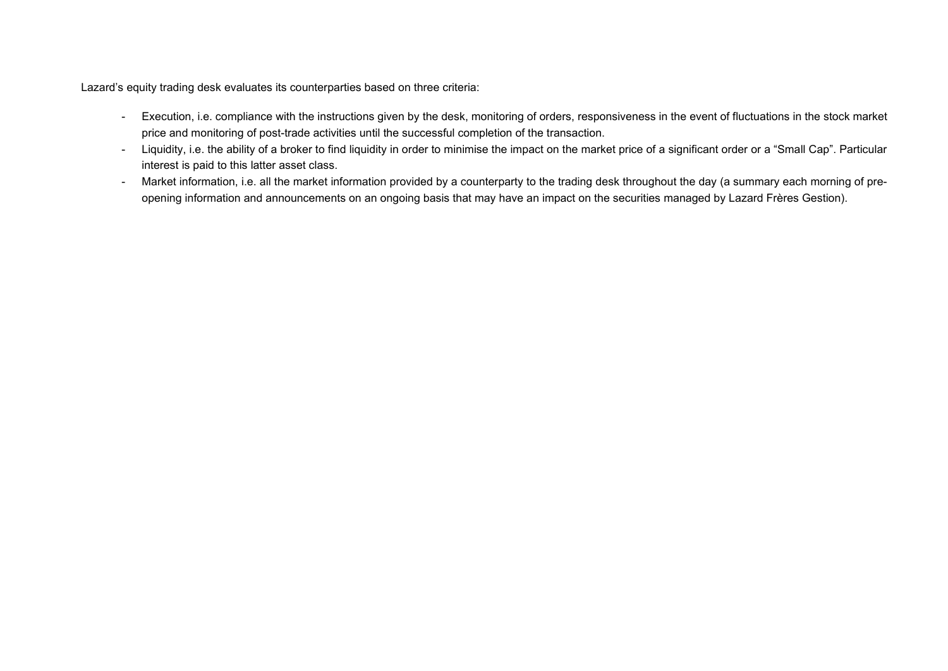Lazard's equity trading desk evaluates its counterparties based on three criteria:

- Execution, i.e. compliance with the instructions given by the desk, monitoring of orders, responsiveness in the event of fluctuations in the stock market price and monitoring of post-trade activities until the successful completion of the transaction.
- Liquidity, i.e. the ability of a broker to find liquidity in order to minimise the impact on the market price of a significant order or a "Small Cap". Particular interest is paid to this latter asset class.
- Market information, i.e. all the market information provided by a counterparty to the trading desk throughout the day (a summary each morning of preopening information and announcements on an ongoing basis that may have an impact on the securities managed by Lazard Frères Gestion).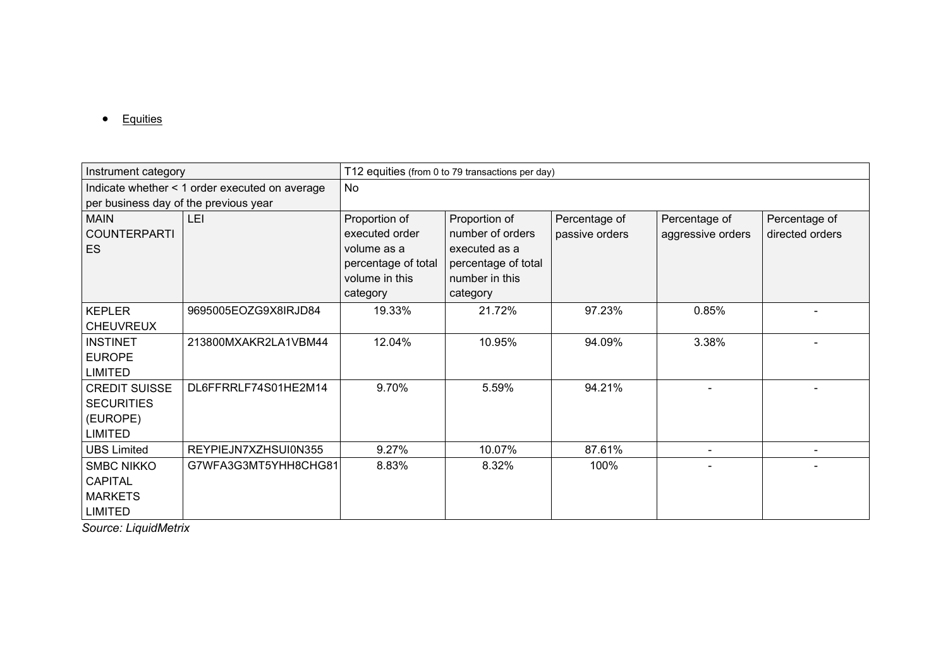• Equities

| Instrument category                                                     |                                                | T12 equities (from 0 to 79 transactions per day)                                                    |                                                                                                         |                                 |                                    |                                  |  |  |  |
|-------------------------------------------------------------------------|------------------------------------------------|-----------------------------------------------------------------------------------------------------|---------------------------------------------------------------------------------------------------------|---------------------------------|------------------------------------|----------------------------------|--|--|--|
|                                                                         | Indicate whether < 1 order executed on average | No                                                                                                  |                                                                                                         |                                 |                                    |                                  |  |  |  |
| per business day of the previous year                                   |                                                |                                                                                                     |                                                                                                         |                                 |                                    |                                  |  |  |  |
| <b>MAIN</b><br><b>COUNTERPARTI</b><br><b>ES</b>                         | LEI                                            | Proportion of<br>executed order<br>volume as a<br>percentage of total<br>volume in this<br>category | Proportion of<br>number of orders<br>executed as a<br>percentage of total<br>number in this<br>category | Percentage of<br>passive orders | Percentage of<br>aggressive orders | Percentage of<br>directed orders |  |  |  |
| <b>KEPLER</b><br><b>CHEUVREUX</b>                                       | 9695005EOZG9X8IRJD84                           | 19.33%                                                                                              | 21.72%                                                                                                  | 97.23%                          | 0.85%                              |                                  |  |  |  |
| <b>INSTINET</b><br><b>EUROPE</b><br><b>LIMITED</b>                      | 213800MXAKR2LA1VBM44                           | 12.04%                                                                                              | 10.95%                                                                                                  | 94.09%                          | 3.38%                              |                                  |  |  |  |
| <b>CREDIT SUISSE</b><br><b>SECURITIES</b><br>(EUROPE)<br><b>LIMITED</b> | DL6FFRRLF74S01HE2M14                           | 9.70%                                                                                               | 5.59%                                                                                                   | 94.21%                          |                                    |                                  |  |  |  |
| <b>UBS Limited</b>                                                      | REYPIEJN7XZHSUI0N355                           | 9.27%                                                                                               | 10.07%                                                                                                  | 87.61%                          |                                    |                                  |  |  |  |
| <b>SMBC NIKKO</b><br><b>CAPITAL</b><br><b>MARKETS</b><br><b>LIMITED</b> | G7WFA3G3MT5YHH8CHG81                           | 8.83%                                                                                               | 8.32%                                                                                                   | 100%                            |                                    |                                  |  |  |  |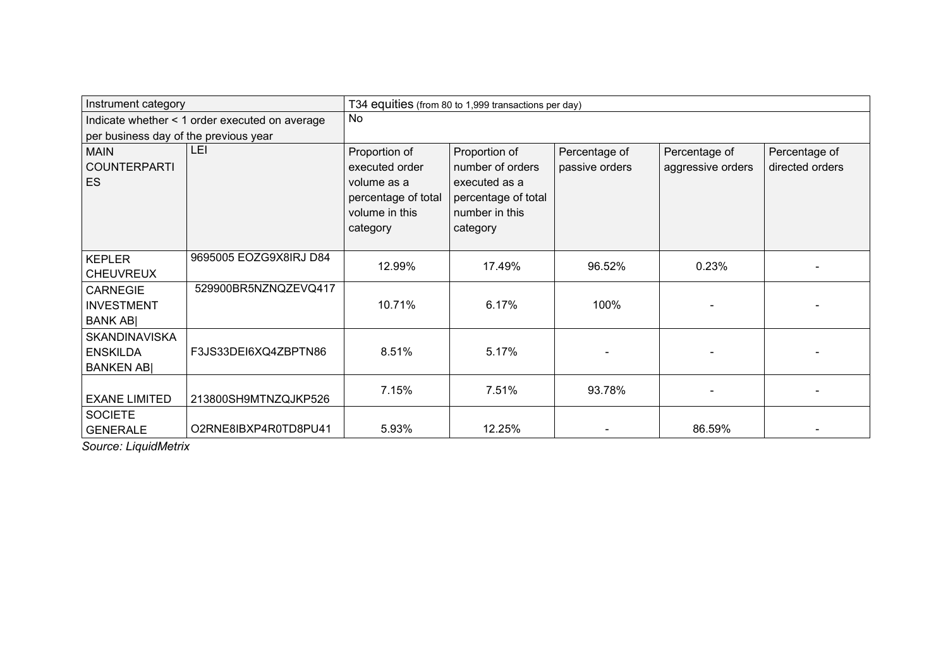| Instrument category                                          |                                                |                                                                                                     | T34 equities (from 80 to 1,999 transactions per day)                                                    |                                 |                                    |                                  |  |  |  |
|--------------------------------------------------------------|------------------------------------------------|-----------------------------------------------------------------------------------------------------|---------------------------------------------------------------------------------------------------------|---------------------------------|------------------------------------|----------------------------------|--|--|--|
|                                                              | Indicate whether < 1 order executed on average | No                                                                                                  |                                                                                                         |                                 |                                    |                                  |  |  |  |
| per business day of the previous year                        |                                                |                                                                                                     |                                                                                                         |                                 |                                    |                                  |  |  |  |
| <b>MAIN</b><br><b>COUNTERPARTI</b><br><b>ES</b>              | LEI                                            | Proportion of<br>executed order<br>volume as a<br>percentage of total<br>volume in this<br>category | Proportion of<br>number of orders<br>executed as a<br>percentage of total<br>number in this<br>category | Percentage of<br>passive orders | Percentage of<br>aggressive orders | Percentage of<br>directed orders |  |  |  |
| <b>KEPLER</b><br><b>CHEUVREUX</b>                            | 9695005 EOZG9X8IRJ D84                         | 12.99%                                                                                              | 17.49%                                                                                                  | 96.52%                          | 0.23%                              |                                  |  |  |  |
| <b>CARNEGIE</b><br><b>INVESTMENT</b><br><b>BANK ABI</b>      | 529900BR5NZNQZEVQ417                           | 10.71%                                                                                              | 6.17%                                                                                                   | 100%                            |                                    |                                  |  |  |  |
| <b>SKANDINAVISKA</b><br><b>ENSKILDA</b><br><b>BANKEN ABI</b> | F3JS33DEI6XQ4ZBPTN86                           | 8.51%                                                                                               | 5.17%                                                                                                   |                                 |                                    |                                  |  |  |  |
| <b>EXANE LIMITED</b>                                         | 213800SH9MTNZQJKP526                           | 7.15%                                                                                               | 7.51%                                                                                                   | 93.78%                          |                                    |                                  |  |  |  |
| <b>SOCIETE</b><br><b>GENERALE</b>                            | O2RNE8IBXP4R0TD8PU41                           | 5.93%                                                                                               | 12.25%                                                                                                  |                                 | 86.59%                             |                                  |  |  |  |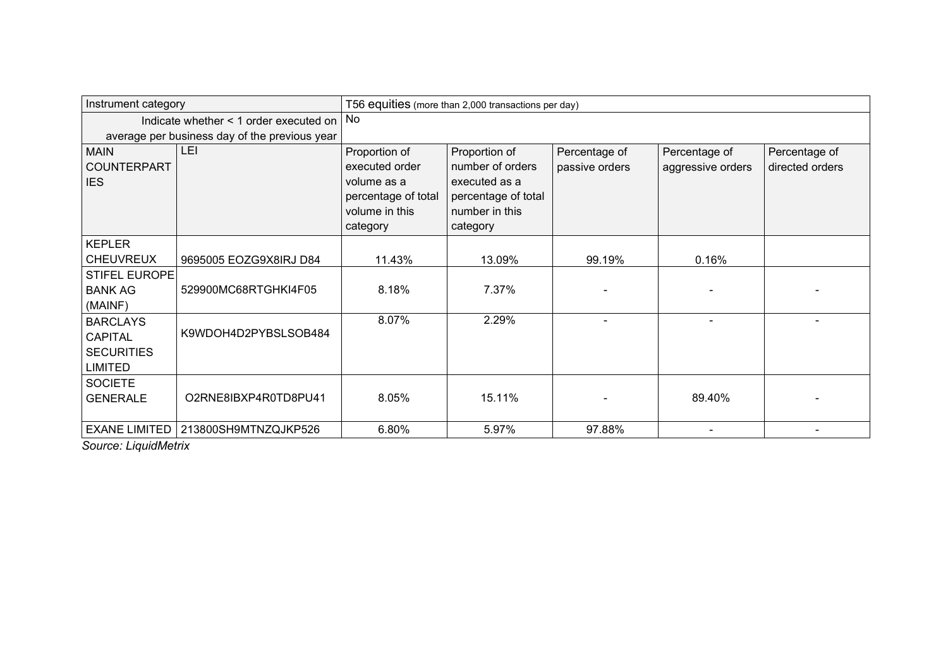| Instrument category  |                                               | T56 equities (more than 2,000 transactions per day) |                     |                |                   |                 |  |
|----------------------|-----------------------------------------------|-----------------------------------------------------|---------------------|----------------|-------------------|-----------------|--|
|                      | Indicate whether < 1 order executed on        | No.                                                 |                     |                |                   |                 |  |
|                      | average per business day of the previous year |                                                     |                     |                |                   |                 |  |
| <b>MAIN</b>          | LEI                                           | Proportion of                                       | Proportion of       | Percentage of  | Percentage of     | Percentage of   |  |
| <b>COUNTERPART</b>   |                                               | executed order                                      | number of orders    | passive orders | aggressive orders | directed orders |  |
| <b>IES</b>           |                                               | volume as a                                         | executed as a       |                |                   |                 |  |
|                      |                                               | percentage of total                                 | percentage of total |                |                   |                 |  |
|                      |                                               | volume in this                                      | number in this      |                |                   |                 |  |
|                      |                                               | category                                            | category            |                |                   |                 |  |
| <b>KEPLER</b>        |                                               |                                                     |                     |                |                   |                 |  |
| <b>CHEUVREUX</b>     | 9695005 EOZG9X8IRJ D84                        | 11.43%                                              | 13.09%              | 99.19%         | 0.16%             |                 |  |
| <b>STIFEL EUROPE</b> |                                               |                                                     |                     |                |                   |                 |  |
| <b>BANK AG</b>       | 529900MC68RTGHKI4F05                          | 8.18%                                               | 7.37%               |                |                   |                 |  |
| (MAINF)              |                                               |                                                     |                     |                |                   |                 |  |
| <b>BARCLAYS</b>      |                                               | 8.07%                                               | 2.29%               |                |                   |                 |  |
| <b>CAPITAL</b>       | K9WDOH4D2PYBSLSOB484                          |                                                     |                     |                |                   |                 |  |
| <b>SECURITIES</b>    |                                               |                                                     |                     |                |                   |                 |  |
| <b>LIMITED</b>       |                                               |                                                     |                     |                |                   |                 |  |
| <b>SOCIETE</b>       |                                               |                                                     |                     |                |                   |                 |  |
| <b>GENERALE</b>      | O2RNE8IBXP4R0TD8PU41                          | 8.05%                                               | 15.11%              |                | 89.40%            |                 |  |
|                      |                                               |                                                     |                     |                |                   |                 |  |
| <b>EXANE LIMITED</b> | 213800SH9MTNZQJKP526                          | 6.80%                                               | 5.97%               | 97.88%         |                   |                 |  |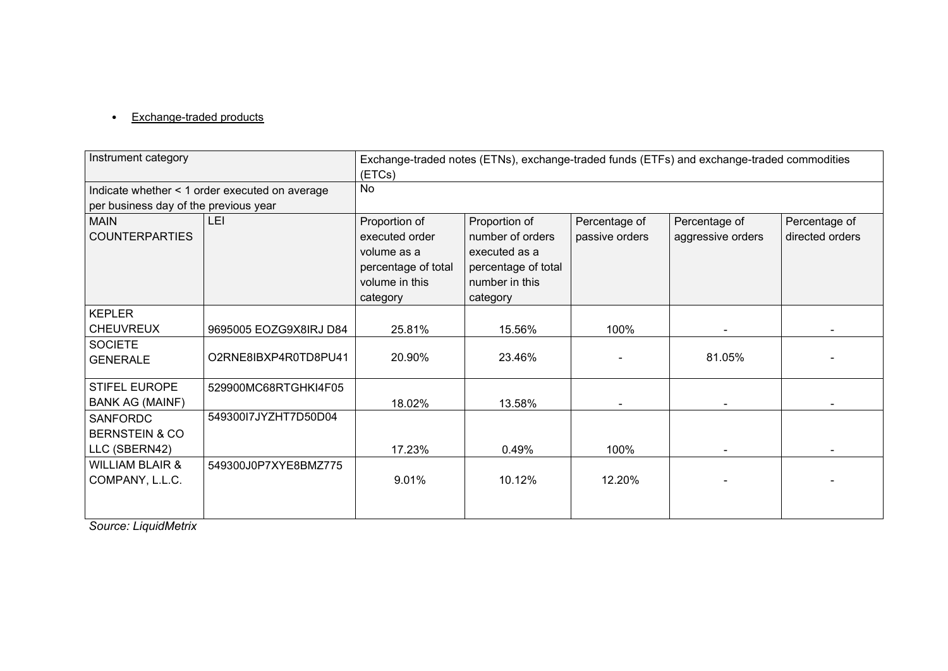# • Exchange-traded products

| Instrument category                   |                                                | Exchange-traded notes (ETNs), exchange-traded funds (ETFs) and exchange-traded commodities<br>(ETCs) |                     |                |                   |                 |  |  |
|---------------------------------------|------------------------------------------------|------------------------------------------------------------------------------------------------------|---------------------|----------------|-------------------|-----------------|--|--|
|                                       | Indicate whether < 1 order executed on average | No                                                                                                   |                     |                |                   |                 |  |  |
| per business day of the previous year |                                                |                                                                                                      |                     |                |                   |                 |  |  |
| <b>MAIN</b>                           | <b>LEI</b>                                     | Proportion of<br>Proportion of<br>Percentage of<br>Percentage of<br>Percentage of                    |                     |                |                   |                 |  |  |
| <b>COUNTERPARTIES</b>                 |                                                | executed order                                                                                       | number of orders    | passive orders | aggressive orders | directed orders |  |  |
|                                       |                                                | volume as a                                                                                          | executed as a       |                |                   |                 |  |  |
|                                       |                                                | percentage of total                                                                                  | percentage of total |                |                   |                 |  |  |
|                                       |                                                | volume in this                                                                                       | number in this      |                |                   |                 |  |  |
|                                       |                                                | category                                                                                             | category            |                |                   |                 |  |  |
| <b>KEPLER</b>                         |                                                |                                                                                                      |                     |                |                   |                 |  |  |
| <b>CHEUVREUX</b>                      | 9695005 EOZG9X8IRJ D84                         | 25.81%                                                                                               | 15.56%              | 100%           |                   |                 |  |  |
| <b>SOCIETE</b>                        |                                                |                                                                                                      |                     |                |                   |                 |  |  |
| <b>GENERALE</b>                       | O2RNE8IBXP4R0TD8PU41                           | 20.90%                                                                                               | 23.46%              |                | 81.05%            |                 |  |  |
| STIFEL EUROPE                         | 529900MC68RTGHKI4F05                           |                                                                                                      |                     |                |                   |                 |  |  |
| <b>BANK AG (MAINF)</b>                |                                                | 18.02%                                                                                               | 13.58%              |                |                   |                 |  |  |
| <b>SANFORDC</b>                       | 549300I7JYZHT7D50D04                           |                                                                                                      |                     |                |                   |                 |  |  |
| <b>BERNSTEIN &amp; CO</b>             |                                                |                                                                                                      |                     |                |                   |                 |  |  |
| LLC (SBERN42)                         |                                                | 17.23%                                                                                               | 0.49%               | 100%           |                   |                 |  |  |
| <b>WILLIAM BLAIR &amp;</b>            | 549300J0P7XYE8BMZ775                           |                                                                                                      |                     |                |                   |                 |  |  |
| COMPANY, L.L.C.                       |                                                | 9.01%                                                                                                | 10.12%              | 12.20%         |                   |                 |  |  |
|                                       |                                                |                                                                                                      |                     |                |                   |                 |  |  |
|                                       |                                                |                                                                                                      |                     |                |                   |                 |  |  |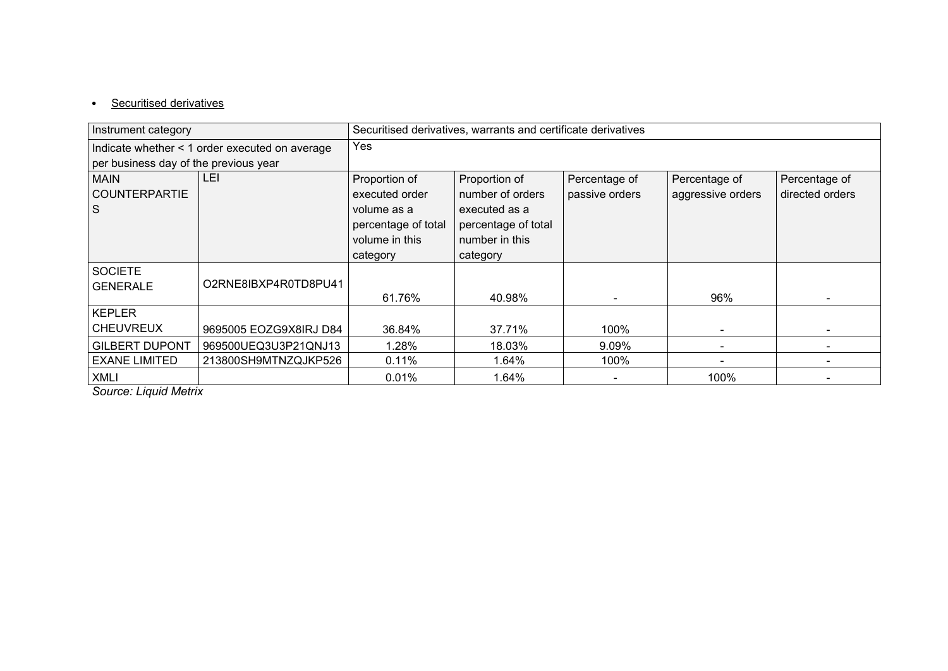# • Securitised derivatives

| Instrument category                   |                                                |                     | Securitised derivatives, warrants and certificate derivatives |                |                   |                 |  |  |
|---------------------------------------|------------------------------------------------|---------------------|---------------------------------------------------------------|----------------|-------------------|-----------------|--|--|
|                                       | Indicate whether < 1 order executed on average | Yes                 |                                                               |                |                   |                 |  |  |
| per business day of the previous year |                                                |                     |                                                               |                |                   |                 |  |  |
| MAIN                                  | LEI                                            | Proportion of       | Proportion of                                                 | Percentage of  | Percentage of     | Percentage of   |  |  |
| <b>COUNTERPARTIE</b>                  |                                                | executed order      | number of orders                                              | passive orders | aggressive orders | directed orders |  |  |
| <sub>S</sub>                          |                                                | volume as a         | executed as a                                                 |                |                   |                 |  |  |
|                                       |                                                | percentage of total | percentage of total                                           |                |                   |                 |  |  |
|                                       |                                                | volume in this      | number in this                                                |                |                   |                 |  |  |
|                                       |                                                | category            | category                                                      |                |                   |                 |  |  |
| <b>SOCIETE</b>                        |                                                |                     |                                                               |                |                   |                 |  |  |
| <b>GENERALE</b>                       | O2RNE8IBXP4R0TD8PU41                           |                     |                                                               |                |                   |                 |  |  |
|                                       |                                                | 61.76%              | 40.98%                                                        |                | 96%               |                 |  |  |
| KEPLER                                |                                                |                     |                                                               |                |                   |                 |  |  |
| <b>CHEUVREUX</b>                      | 9695005 EOZG9X8IRJ D84                         | 36.84%              | 37.71%                                                        | 100%           |                   |                 |  |  |
| <b>GILBERT DUPONT</b>                 | 969500UEQ3U3P21QNJ13                           | 1.28%               | 18.03%                                                        | 9.09%          |                   |                 |  |  |
| <b>EXANE LIMITED</b>                  | 213800SH9MTNZQJKP526                           | 0.11%               | 1.64%                                                         | 100%           |                   |                 |  |  |
| <b>XMLI</b><br>.                      |                                                | 0.01%               | 1.64%                                                         |                | 100%              |                 |  |  |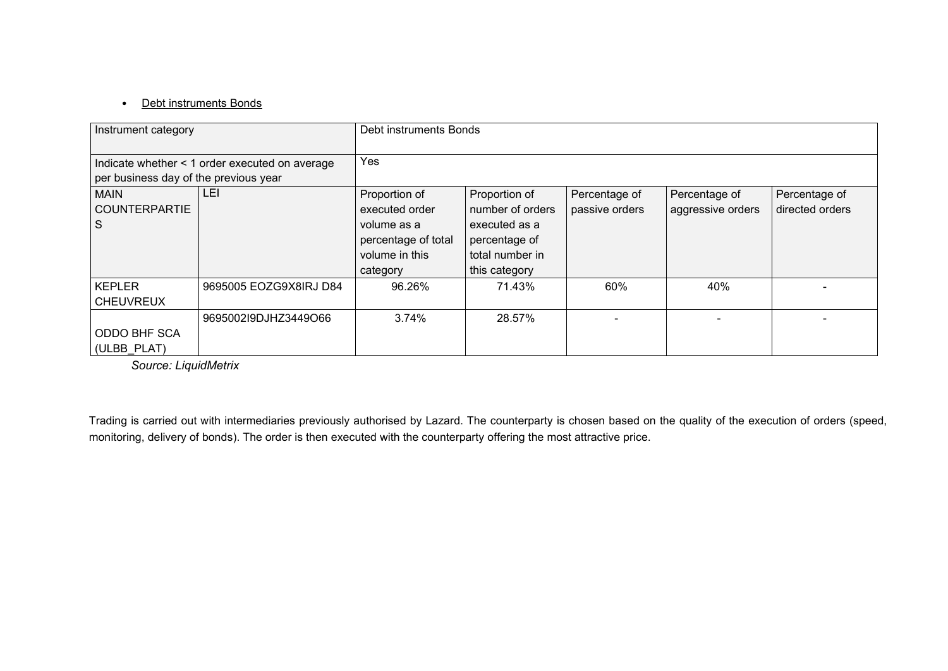## • Debt instruments Bonds

| Instrument category                      |                                                | Debt instruments Bonds                                                                              |                                                                                                         |                                 |                                    |                                  |  |
|------------------------------------------|------------------------------------------------|-----------------------------------------------------------------------------------------------------|---------------------------------------------------------------------------------------------------------|---------------------------------|------------------------------------|----------------------------------|--|
| per business day of the previous year    | Indicate whether < 1 order executed on average | Yes                                                                                                 |                                                                                                         |                                 |                                    |                                  |  |
| <b>MAIN</b><br><b>COUNTERPARTIE</b><br>S | LEI                                            | Proportion of<br>executed order<br>volume as a<br>percentage of total<br>volume in this<br>category | Proportion of<br>number of orders<br>executed as a<br>percentage of<br>total number in<br>this category | Percentage of<br>passive orders | Percentage of<br>aggressive orders | Percentage of<br>directed orders |  |
| <b>KEPLER</b><br><b>CHEUVREUX</b>        | 9695005 EOZG9X8IRJ D84                         | 96.26%                                                                                              | 71.43%                                                                                                  | 60%                             | 40%                                |                                  |  |
| <b>ODDO BHF SCA</b><br>(ULBB PLAT)       | 9695002l9DJHZ3449O66                           | 3.74%                                                                                               | 28.57%                                                                                                  |                                 |                                    |                                  |  |

*Source: LiquidMetrix*

Trading is carried out with intermediaries previously authorised by Lazard. The counterparty is chosen based on the quality of the execution of orders (speed, monitoring, delivery of bonds). The order is then executed with the counterparty offering the most attractive price.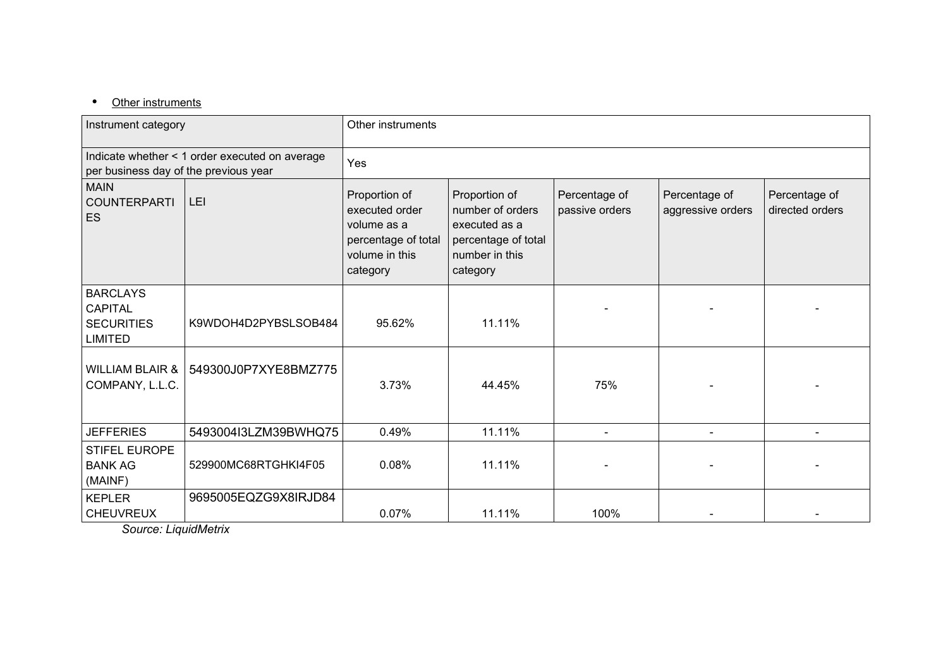# • Other instruments

| Instrument category                                                                     |                      | Other instruments                                                                                                                                                                                                                                                                                                           |        |      |  |  |  |  |
|-----------------------------------------------------------------------------------------|----------------------|-----------------------------------------------------------------------------------------------------------------------------------------------------------------------------------------------------------------------------------------------------------------------------------------------------------------------------|--------|------|--|--|--|--|
| Indicate whether < 1 order executed on average<br>per business day of the previous year |                      | Yes                                                                                                                                                                                                                                                                                                                         |        |      |  |  |  |  |
| <b>MAIN</b><br><b>COUNTERPARTI</b><br>ES                                                | LEI                  | Proportion of<br>Proportion of<br>Percentage of<br>Percentage of<br>Percentage of<br>number of orders<br>passive orders<br>aggressive orders<br>directed orders<br>executed order<br>volume as a<br>executed as a<br>percentage of total<br>percentage of total<br>volume in this<br>number in this<br>category<br>category |        |      |  |  |  |  |
| <b>BARCLAYS</b><br><b>CAPITAL</b><br><b>SECURITIES</b><br><b>LIMITED</b>                | K9WDOH4D2PYBSLSOB484 | 95.62%                                                                                                                                                                                                                                                                                                                      | 11.11% |      |  |  |  |  |
| <b>WILLIAM BLAIR &amp;</b><br>COMPANY, L.L.C.                                           | 549300J0P7XYE8BMZ775 | 3.73%                                                                                                                                                                                                                                                                                                                       | 44.45% | 75%  |  |  |  |  |
| <b>JEFFERIES</b>                                                                        | 5493004I3LZM39BWHQ75 | 0.49%                                                                                                                                                                                                                                                                                                                       | 11.11% |      |  |  |  |  |
| <b>STIFEL EUROPE</b><br><b>BANK AG</b><br>(MAINF)                                       | 529900MC68RTGHKI4F05 | 0.08%                                                                                                                                                                                                                                                                                                                       | 11.11% |      |  |  |  |  |
| <b>KEPLER</b><br><b>CHEUVREUX</b>                                                       | 9695005EQZG9X8IRJD84 | 0.07%                                                                                                                                                                                                                                                                                                                       | 11.11% | 100% |  |  |  |  |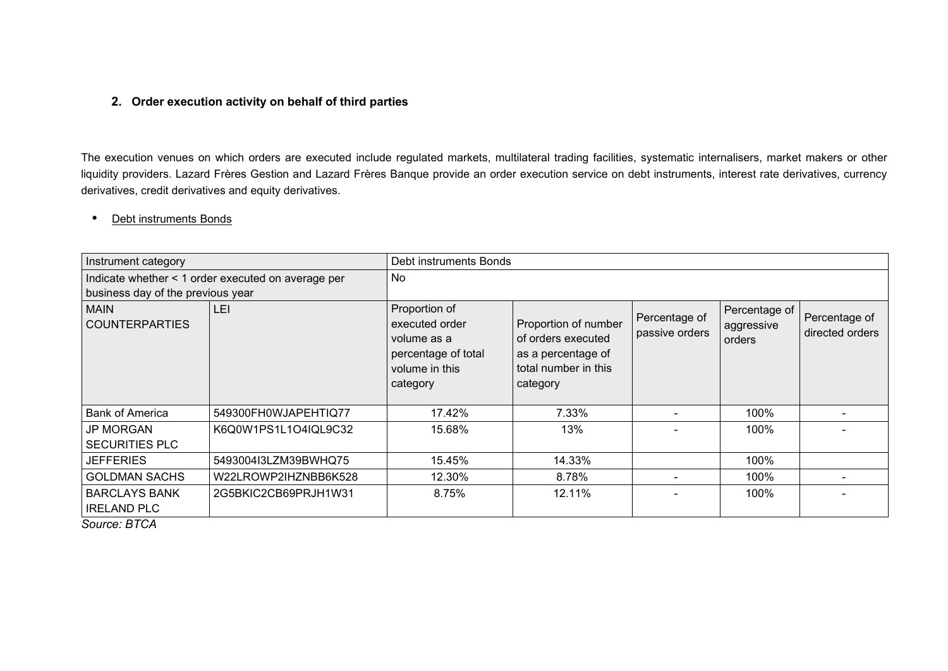#### **2. Order execution activity on behalf of third parties**

The execution venues on which orders are executed include regulated markets, multilateral trading facilities, systematic internalisers, market makers or other liquidity providers. Lazard Frères Gestion and Lazard Frères Banque provide an order execution service on debt instruments, interest rate derivatives, currency derivatives, credit derivatives and equity derivatives.

#### Debt instruments Bonds

| Instrument category                                              |                                                    | Debt instruments Bonds                                                                              |                                                                                                      |                                 |                                       |                                  |  |  |
|------------------------------------------------------------------|----------------------------------------------------|-----------------------------------------------------------------------------------------------------|------------------------------------------------------------------------------------------------------|---------------------------------|---------------------------------------|----------------------------------|--|--|
|                                                                  | Indicate whether < 1 order executed on average per | <b>No</b>                                                                                           |                                                                                                      |                                 |                                       |                                  |  |  |
| business day of the previous year                                |                                                    |                                                                                                     |                                                                                                      |                                 |                                       |                                  |  |  |
| <b>MAIN</b><br><b>COUNTERPARTIES</b>                             | <b>LEI</b>                                         | Proportion of<br>executed order<br>volume as a<br>percentage of total<br>volume in this<br>category | Proportion of number<br>of orders executed<br>as a percentage of<br>total number in this<br>category | Percentage of<br>passive orders | Percentage of<br>aggressive<br>orders | Percentage of<br>directed orders |  |  |
| <b>Bank of America</b>                                           | 549300FH0WJAPEHTIQ77                               | 17.42%                                                                                              | 7.33%                                                                                                |                                 | 100%                                  |                                  |  |  |
| <b>JP MORGAN</b><br><b>SECURITIES PLC</b>                        | K6Q0W1PS1L1O4IQL9C32                               | 15.68%                                                                                              | 13%                                                                                                  |                                 | 100%                                  |                                  |  |  |
| <b>JEFFERIES</b>                                                 | 5493004I3LZM39BWHQ75                               | 15.45%                                                                                              | 14.33%                                                                                               |                                 | 100%                                  |                                  |  |  |
| <b>GOLDMAN SACHS</b>                                             | W22LROWP2IHZNBB6K528                               | 12.30%                                                                                              | 8.78%                                                                                                |                                 | 100%                                  |                                  |  |  |
| <b>BARCLAYS BANK</b><br><b>IRELAND PLC</b><br>0. <del>.</del> 0. | 2G5BKIC2CB69PRJH1W31                               | 8.75%                                                                                               | 12.11%                                                                                               |                                 | 100%                                  |                                  |  |  |

*Source: BTCA*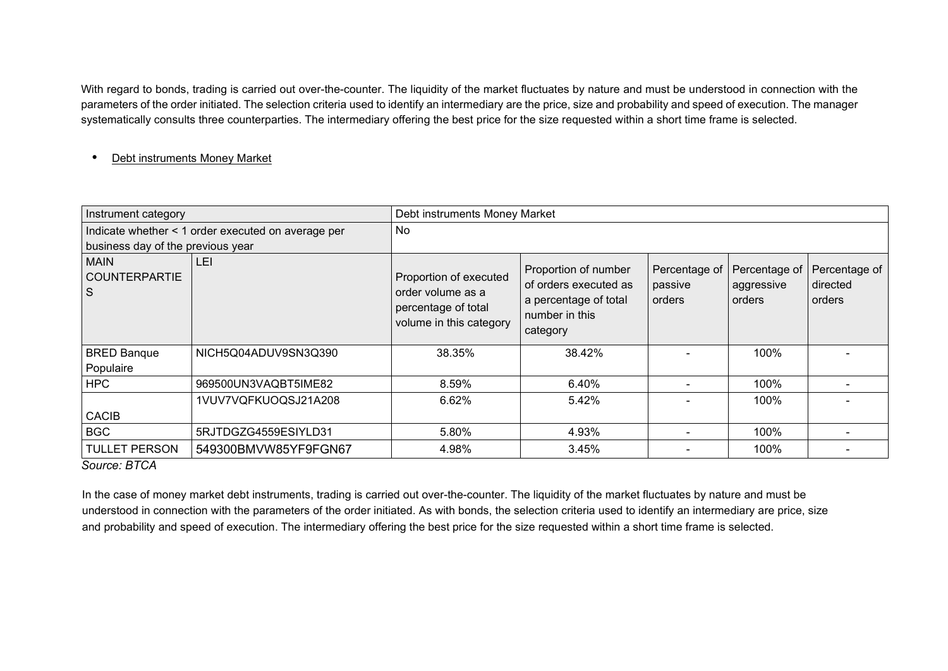With regard to bonds, trading is carried out over-the-counter. The liquidity of the market fluctuates by nature and must be understood in connection with the parameters of the order initiated. The selection criteria used to identify an intermediary are the price, size and probability and speed of execution. The manager systematically consults three counterparties. The intermediary offering the best price for the size requested within a short time frame is selected.

#### Debt instruments Money Market

| Instrument category                                                                     |                      | Debt instruments Money Market                                                                 |                                                                                                      |                                      |                                       |                                     |  |  |
|-----------------------------------------------------------------------------------------|----------------------|-----------------------------------------------------------------------------------------------|------------------------------------------------------------------------------------------------------|--------------------------------------|---------------------------------------|-------------------------------------|--|--|
| Indicate whether < 1 order executed on average per<br>business day of the previous year |                      | No                                                                                            |                                                                                                      |                                      |                                       |                                     |  |  |
| <b>MAIN</b><br><b>COUNTERPARTIE</b><br>S                                                | LEI                  | Proportion of executed<br>order volume as a<br>percentage of total<br>volume in this category | Proportion of number<br>of orders executed as<br>a percentage of total<br>number in this<br>category | Percentage of<br>passive<br>l orders | Percentage of<br>aggressive<br>orders | Percentage of<br>directed<br>orders |  |  |
| <b>BRED Banque</b>                                                                      | NICH5Q04ADUV9SN3Q390 | 38.35%                                                                                        | 38.42%                                                                                               |                                      | 100%                                  |                                     |  |  |
| Populaire                                                                               |                      |                                                                                               |                                                                                                      |                                      |                                       |                                     |  |  |
| <b>HPC</b>                                                                              | 969500UN3VAQBT5IME82 | 8.59%                                                                                         | 6.40%                                                                                                |                                      | 100%                                  |                                     |  |  |
|                                                                                         | 1VUV7VQFKUOQSJ21A208 | 6.62%                                                                                         | 5.42%                                                                                                |                                      | 100%                                  |                                     |  |  |
| <b>CACIB</b>                                                                            |                      |                                                                                               |                                                                                                      |                                      |                                       |                                     |  |  |
| <b>BGC</b>                                                                              | 5RJTDGZG4559ESIYLD31 | 5.80%                                                                                         | 4.93%                                                                                                |                                      | 100%                                  |                                     |  |  |
| <b>TULLET PERSON</b>                                                                    | 549300BMVW85YF9FGN67 | 4.98%                                                                                         | 3.45%                                                                                                |                                      | 100%                                  |                                     |  |  |

### *Source: BTCA*

In the case of money market debt instruments, trading is carried out over-the-counter. The liquidity of the market fluctuates by nature and must be understood in connection with the parameters of the order initiated. As with bonds, the selection criteria used to identify an intermediary are price, size and probability and speed of execution. The intermediary offering the best price for the size requested within a short time frame is selected.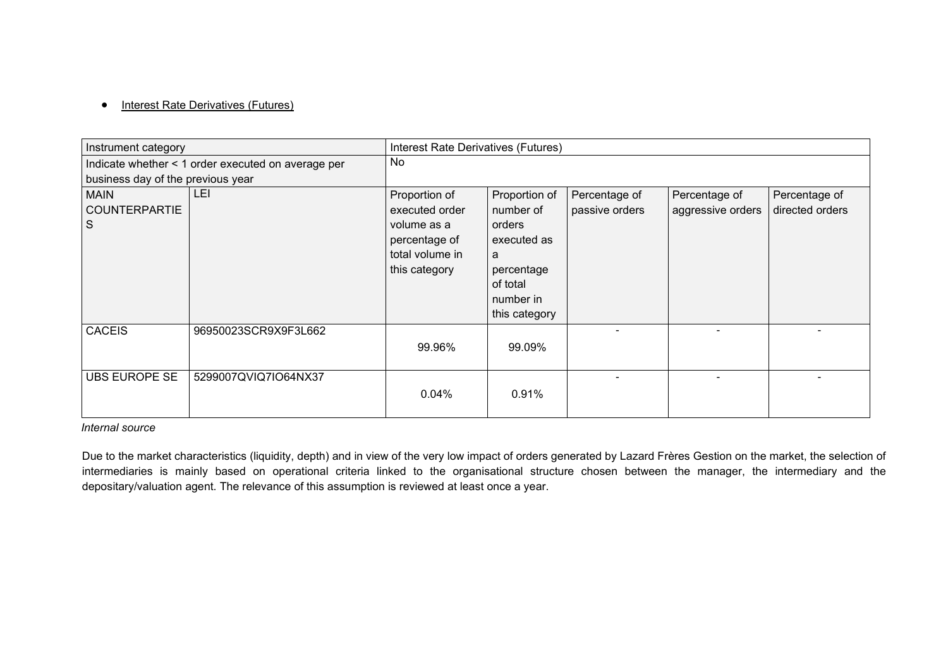#### • Interest Rate Derivatives (Futures)

| Instrument category               |                                                    | Interest Rate Derivatives (Futures) |               |                |                   |                 |  |
|-----------------------------------|----------------------------------------------------|-------------------------------------|---------------|----------------|-------------------|-----------------|--|
|                                   | Indicate whether < 1 order executed on average per | No                                  |               |                |                   |                 |  |
| business day of the previous year |                                                    |                                     |               |                |                   |                 |  |
| <b>MAIN</b>                       | LEI                                                | Proportion of                       | Proportion of | Percentage of  | Percentage of     | Percentage of   |  |
| <b>COUNTERPARTIE</b>              |                                                    | executed order                      | number of     | passive orders | aggressive orders | directed orders |  |
| S                                 |                                                    | volume as a                         | orders        |                |                   |                 |  |
|                                   |                                                    | percentage of                       | executed as   |                |                   |                 |  |
|                                   |                                                    | total volume in                     | a             |                |                   |                 |  |
|                                   |                                                    | this category                       | percentage    |                |                   |                 |  |
|                                   |                                                    |                                     | of total      |                |                   |                 |  |
|                                   |                                                    |                                     | number in     |                |                   |                 |  |
|                                   |                                                    |                                     | this category |                |                   |                 |  |
| <b>CACEIS</b>                     | 96950023SCR9X9F3L662                               |                                     |               |                |                   |                 |  |
|                                   |                                                    | 99.96%                              | 99.09%        |                |                   |                 |  |
|                                   |                                                    |                                     |               |                |                   |                 |  |
| <b>UBS EUROPE SE</b>              | 5299007QVIQ7IO64NX37                               |                                     |               |                |                   |                 |  |
|                                   |                                                    | 0.04%                               | 0.91%         |                |                   |                 |  |
|                                   |                                                    |                                     |               |                |                   |                 |  |

#### *Internal source*

Due to the market characteristics (liquidity, depth) and in view of the very low impact of orders generated by Lazard Frères Gestion on the market, the selection of intermediaries is mainly based on operational criteria linked to the organisational structure chosen between the manager, the intermediary and the depositary/valuation agent. The relevance of this assumption is reviewed at least once a year.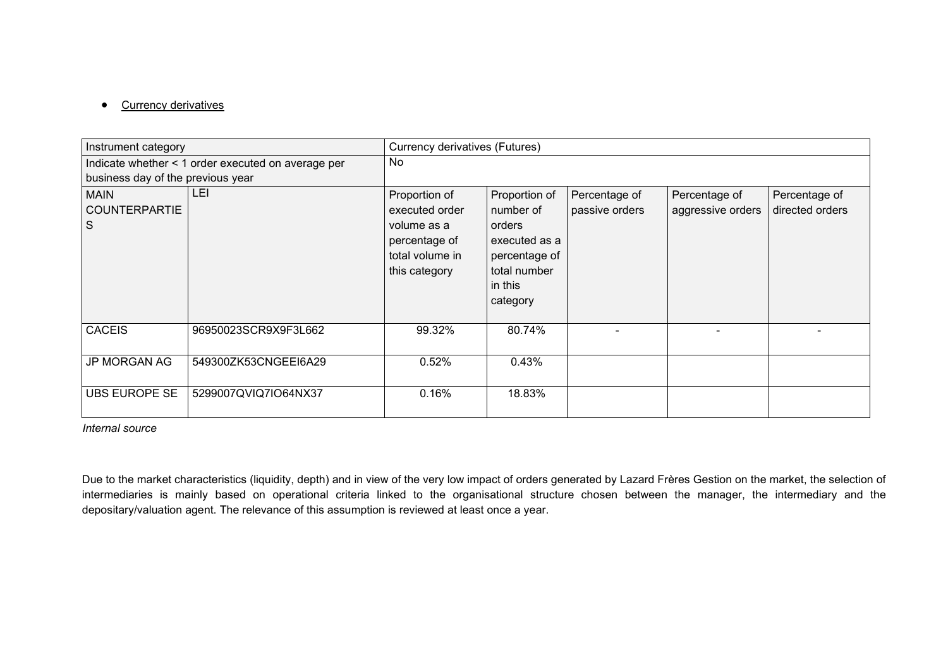#### • Currency derivatives

| Instrument category                 |                                                    | Currency derivatives (Futures)                                   |                                                                                 |                                 |                                    |                                  |  |
|-------------------------------------|----------------------------------------------------|------------------------------------------------------------------|---------------------------------------------------------------------------------|---------------------------------|------------------------------------|----------------------------------|--|
|                                     | Indicate whether < 1 order executed on average per | No                                                               |                                                                                 |                                 |                                    |                                  |  |
| business day of the previous year   |                                                    |                                                                  |                                                                                 |                                 |                                    |                                  |  |
| <b>MAIN</b><br><b>COUNTERPARTIE</b> | LEI                                                | Proportion of<br>executed order                                  | Proportion of<br>number of                                                      | Percentage of<br>passive orders | Percentage of<br>aggressive orders | Percentage of<br>directed orders |  |
| S                                   |                                                    | volume as a<br>percentage of<br>total volume in<br>this category | orders<br>executed as a<br>percentage of<br>total number<br>in this<br>category |                                 |                                    |                                  |  |
| <b>CACEIS</b>                       | 96950023SCR9X9F3L662                               | 99.32%                                                           | 80.74%                                                                          |                                 |                                    |                                  |  |
| JP MORGAN AG                        | 549300ZK53CNGEEI6A29                               | 0.52%                                                            | 0.43%                                                                           |                                 |                                    |                                  |  |
| <b>UBS EUROPE SE</b>                | 5299007QVIQ7IO64NX37                               | 0.16%                                                            | 18.83%                                                                          |                                 |                                    |                                  |  |

*Internal source*

Due to the market characteristics (liquidity, depth) and in view of the very low impact of orders generated by Lazard Frères Gestion on the market, the selection of intermediaries is mainly based on operational criteria linked to the organisational structure chosen between the manager, the intermediary and the depositary/valuation agent. The relevance of this assumption is reviewed at least once a year.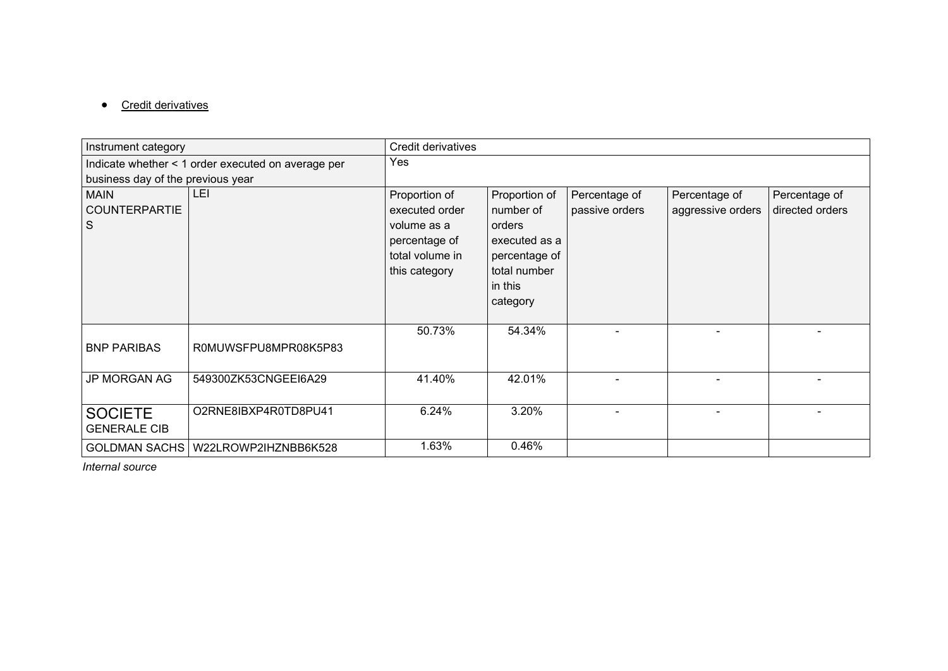## • Credit derivatives

| Instrument category                      |                                                    | Credit derivatives                                                                                  |                                                                                                               |                                 |                                    |                                  |  |  |
|------------------------------------------|----------------------------------------------------|-----------------------------------------------------------------------------------------------------|---------------------------------------------------------------------------------------------------------------|---------------------------------|------------------------------------|----------------------------------|--|--|
|                                          | Indicate whether < 1 order executed on average per | Yes                                                                                                 |                                                                                                               |                                 |                                    |                                  |  |  |
| business day of the previous year        |                                                    |                                                                                                     |                                                                                                               |                                 |                                    |                                  |  |  |
| <b>MAIN</b><br><b>COUNTERPARTIE</b><br>S | LEI                                                | Proportion of<br>executed order<br>volume as a<br>percentage of<br>total volume in<br>this category | Proportion of<br>number of<br>orders<br>executed as a<br>percentage of<br>total number<br>in this<br>category | Percentage of<br>passive orders | Percentage of<br>aggressive orders | Percentage of<br>directed orders |  |  |
| <b>BNP PARIBAS</b>                       | R0MUWSFPU8MPR08K5P83                               | 50.73%                                                                                              | 54.34%                                                                                                        |                                 |                                    |                                  |  |  |
| <b>JP MORGAN AG</b>                      | 549300ZK53CNGEEI6A29                               | 41.40%                                                                                              | 42.01%                                                                                                        |                                 |                                    |                                  |  |  |
| <b>SOCIETE</b><br><b>GENERALE CIB</b>    | O2RNE8IBXP4R0TD8PU41                               | 6.24%                                                                                               | 3.20%                                                                                                         |                                 |                                    |                                  |  |  |
| <b>GOLDMAN SACHS</b>                     | W22LROWP2IHZNBB6K528                               | 1.63%                                                                                               | 0.46%                                                                                                         |                                 |                                    |                                  |  |  |

*Internal source*